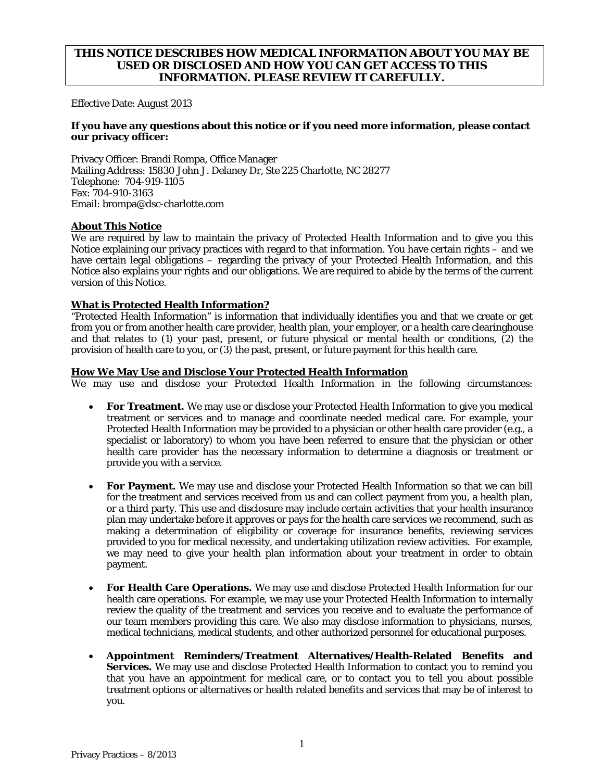# **THIS NOTICE DESCRIBES HOW MEDICAL INFORMATION ABOUT YOU MAY BE USED OR DISCLOSED AND HOW YOU CAN GET ACCESS TO THIS INFORMATION. PLEASE REVIEW IT CAREFULLY.**

Effective Date: August 2013

### **If you have any questions about this notice or if you need more information, please contact our privacy officer:**

Privacy Officer: Brandi Rompa, Office Manager Mailing Address: 15830 John J. Delaney Dr, Ste 225 Charlotte, NC 28277 Telephone: 704-919-1105 Fax: 704-910-3163 Email: brompa@dsc-charlotte.com

#### **About This Notice**

We are required by law to maintain the privacy of Protected Health Information and to give you this Notice explaining our privacy practices with regard to that information. You have certain rights – and we have certain legal obligations – regarding the privacy of your Protected Health Information, and this Notice also explains your rights and our obligations. We are required to abide by the terms of the current version of this Notice.

### **What is Protected Health Information?**

"Protected Health Information" is information that individually identifies you and that we create or get from you or from another health care provider, health plan, your employer, or a health care clearinghouse and that relates to (1) your past, present, or future physical or mental health or conditions, (2) the provision of health care to you, or (3) the past, present, or future payment for this health care.

### **How We May Use and Disclose Your Protected Health Information**

We may use and disclose your Protected Health Information in the following circumstances:

- **For Treatment.** We may use or disclose your Protected Health Information to give you medical treatment or services and to manage and coordinate needed medical care. For example, your Protected Health Information may be provided to a physician or other health care provider (e.g., a specialist or laboratory) to whom you have been referred to ensure that the physician or other health care provider has the necessary information to determine a diagnosis or treatment or provide you with a service.
- **For Payment.** We may use and disclose your Protected Health Information so that we can bill for the treatment and services received from us and can collect payment from you, a health plan, or a third party. This use and disclosure may include certain activities that your health insurance plan may undertake before it approves or pays for the health care services we recommend, such as making a determination of eligibility or coverage for insurance benefits, reviewing services provided to you for medical necessity, and undertaking utilization review activities. For example, we may need to give your health plan information about your treatment in order to obtain payment.
- **For Health Care Operations.** We may use and disclose Protected Health Information for our health care operations. For example, we may use your Protected Health Information to internally review the quality of the treatment and services you receive and to evaluate the performance of our team members providing this care. We also may disclose information to physicians, nurses, medical technicians, medical students, and other authorized personnel for educational purposes.
- **Appointment Reminders/Treatment Alternatives/Health-Related Benefits and Services.** We may use and disclose Protected Health Information to contact you to remind you that you have an appointment for medical care, or to contact you to tell you about possible treatment options or alternatives or health related benefits and services that may be of interest to you.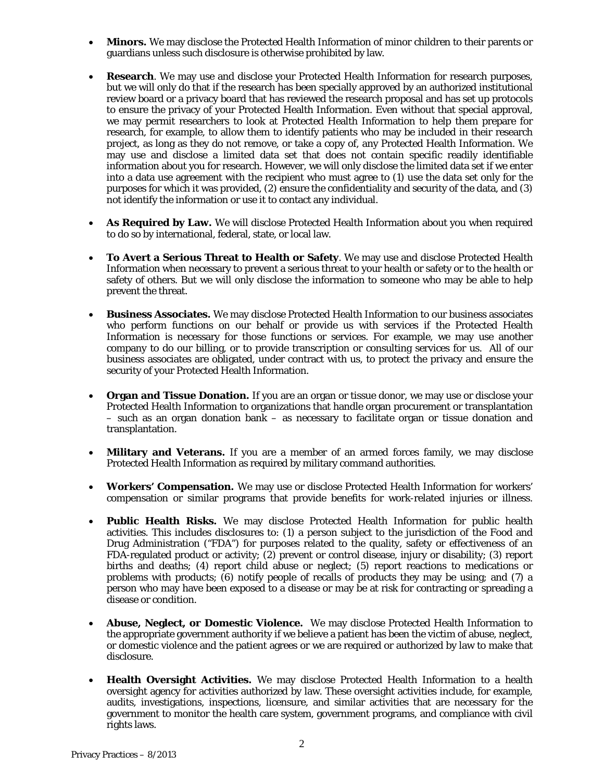- **Minors.** We may disclose the Protected Health Information of minor children to their parents or guardians unless such disclosure is otherwise prohibited by law.
- **Research**. We may use and disclose your Protected Health Information for research purposes, but we will only do that if the research has been specially approved by an authorized institutional review board or a privacy board that has reviewed the research proposal and has set up protocols to ensure the privacy of your Protected Health Information. Even without that special approval, we may permit researchers to look at Protected Health Information to help them prepare for research, for example, to allow them to identify patients who may be included in their research project, as long as they do not remove, or take a copy of, any Protected Health Information. We may use and disclose a limited data set that does not contain specific readily identifiable information about you for research. However, we will only disclose the limited data set if we enter into a data use agreement with the recipient who must agree to (1) use the data set only for the purposes for which it was provided, (2) ensure the confidentiality and security of the data, and (3) not identify the information or use it to contact any individual.
- **As Required by Law.** We will disclose Protected Health Information about you when required to do so by international, federal, state, or local law.
- **To Avert a Serious Threat to Health or Safety**. We may use and disclose Protected Health Information when necessary to prevent a serious threat to your health or safety or to the health or safety of others. But we will only disclose the information to someone who may be able to help prevent the threat.
- **Business Associates.** We may disclose Protected Health Information to our business associates who perform functions on our behalf or provide us with services if the Protected Health Information is necessary for those functions or services. For example, we may use another company to do our billing, or to provide transcription or consulting services for us. All of our business associates are obligated, under contract with us, to protect the privacy and ensure the security of your Protected Health Information.
- **Organ and Tissue Donation.** If you are an organ or tissue donor, we may use or disclose your Protected Health Information to organizations that handle organ procurement or transplantation – such as an organ donation bank – as necessary to facilitate organ or tissue donation and transplantation.
- **Military and Veterans.** If you are a member of an armed forces family, we may disclose Protected Health Information as required by military command authorities.
- **Workers' Compensation.** We may use or disclose Protected Health Information for workers' compensation or similar programs that provide benefits for work-related injuries or illness.
- **Public Health Risks.** We may disclose Protected Health Information for public health activities. This includes disclosures to: (1) a person subject to the jurisdiction of the Food and Drug Administration ("FDA") for purposes related to the quality, safety or effectiveness of an FDA-regulated product or activity; (2) prevent or control disease, injury or disability; (3) report births and deaths; (4) report child abuse or neglect; (5) report reactions to medications or problems with products;  $(6)$  notify people of recalls of products they may be using; and  $(7)$  a person who may have been exposed to a disease or may be at risk for contracting or spreading a disease or condition.
- **Abuse, Neglect, or Domestic Violence.** We may disclose Protected Health Information to the appropriate government authority if we believe a patient has been the victim of abuse, neglect, or domestic violence and the patient agrees or we are required or authorized by law to make that disclosure.
- **Health Oversight Activities.** We may disclose Protected Health Information to a health oversight agency for activities authorized by law. These oversight activities include, for example, audits, investigations, inspections, licensure, and similar activities that are necessary for the government to monitor the health care system, government programs, and compliance with civil rights laws.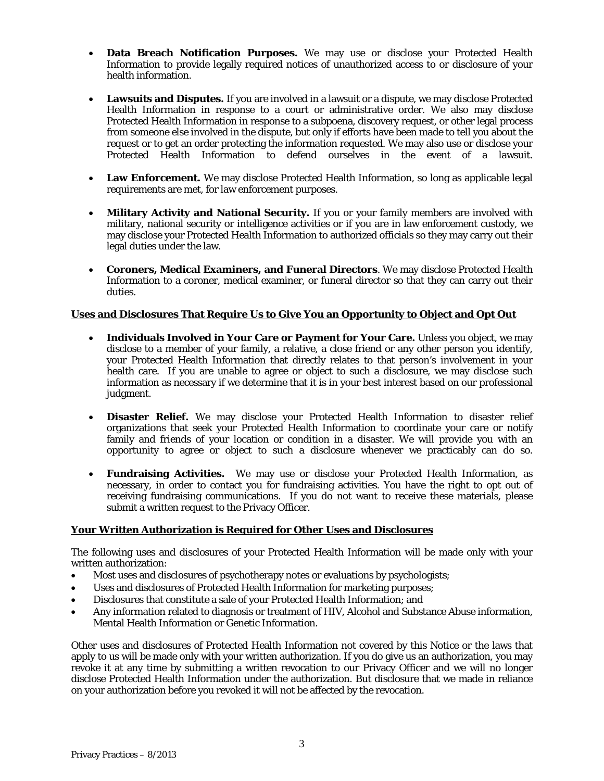- **Data Breach Notification Purposes.** We may use or disclose your Protected Health Information to provide legally required notices of unauthorized access to or disclosure of your health information.
- **Lawsuits and Disputes.** If you are involved in a lawsuit or a dispute, we may disclose Protected Health Information in response to a court or administrative order. We also may disclose Protected Health Information in response to a subpoena, discovery request, or other legal process from someone else involved in the dispute, but only if efforts have been made to tell you about the request or to get an order protecting the information requested. We may also use or disclose your Protected Health Information to defend ourselves in the event of a lawsuit.
- Law Enforcement. We may disclose Protected Health Information, so long as applicable legal requirements are met, for law enforcement purposes.
- **Military Activity and National Security.** If you or your family members are involved with military, national security or intelligence activities or if you are in law enforcement custody, we may disclose your Protected Health Information to authorized officials so they may carry out their legal duties under the law.
- **Coroners, Medical Examiners, and Funeral Directors**. We may disclose Protected Health Information to a coroner, medical examiner, or funeral director so that they can carry out their duties.

## **Uses and Disclosures That Require Us to Give You an Opportunity to Object and Opt Out**

- **Individuals Involved in Your Care or Payment for Your Care.** Unless you object, we may disclose to a member of your family, a relative, a close friend or any other person you identify, your Protected Health Information that directly relates to that person's involvement in your health care. If you are unable to agree or object to such a disclosure, we may disclose such information as necessary if we determine that it is in your best interest based on our professional judgment.
- **Disaster Relief.** We may disclose your Protected Health Information to disaster relief organizations that seek your Protected Health Information to coordinate your care or notify family and friends of your location or condition in a disaster. We will provide you with an opportunity to agree or object to such a disclosure whenever we practicably can do so.
- **Fundraising Activities.** We may use or disclose your Protected Health Information, as necessary, in order to contact you for fundraising activities. You have the right to opt out of receiving fundraising communications. If you do not want to receive these materials, please submit a written request to the Privacy Officer.

### **Your Written Authorization is Required for Other Uses and Disclosures**

The following uses and disclosures of your Protected Health Information will be made only with your written authorization:

- Most uses and disclosures of psychotherapy notes or evaluations by psychologists;
- Uses and disclosures of Protected Health Information for marketing purposes;
- Disclosures that constitute a sale of your Protected Health Information; and
- Any information related to diagnosis or treatment of HIV, Alcohol and Substance Abuse information, Mental Health Information or Genetic Information.

Other uses and disclosures of Protected Health Information not covered by this Notice or the laws that apply to us will be made only with your written authorization. If you do give us an authorization, you may revoke it at any time by submitting a written revocation to our Privacy Officer and we will no longer disclose Protected Health Information under the authorization. But disclosure that we made in reliance on your authorization before you revoked it will not be affected by the revocation.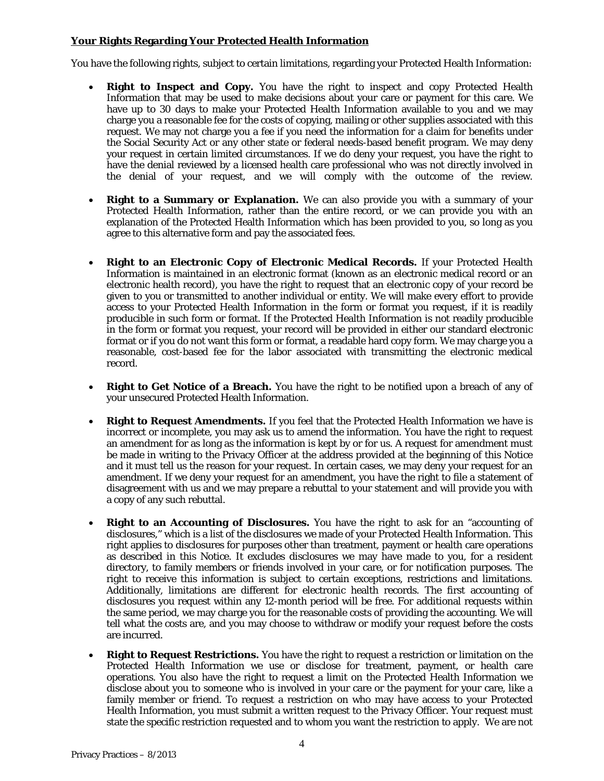## **Your Rights Regarding Your Protected Health Information**

You have the following rights, subject to certain limitations, regarding your Protected Health Information:

- **Right to Inspect and Copy.** You have the right to inspect and copy Protected Health Information that may be used to make decisions about your care or payment for this care. We have up to 30 days to make your Protected Health Information available to you and we may charge you a reasonable fee for the costs of copying, mailing or other supplies associated with this request. We may not charge you a fee if you need the information for a claim for benefits under the Social Security Act or any other state or federal needs-based benefit program. We may deny your request in certain limited circumstances. If we do deny your request, you have the right to have the denial reviewed by a licensed health care professional who was not directly involved in the denial of your request, and we will comply with the outcome of the review.
- **Right to a Summary or Explanation.** We can also provide you with a summary of your Protected Health Information, rather than the entire record, or we can provide you with an explanation of the Protected Health Information which has been provided to you, so long as you agree to this alternative form and pay the associated fees.
- **Right to an Electronic Copy of Electronic Medical Records.** If your Protected Health Information is maintained in an electronic format (known as an electronic medical record or an electronic health record), you have the right to request that an electronic copy of your record be given to you or transmitted to another individual or entity. We will make every effort to provide access to your Protected Health Information in the form or format you request, if it is readily producible in such form or format. If the Protected Health Information is not readily producible in the form or format you request, your record will be provided in either our standard electronic format or if you do not want this form or format, a readable hard copy form*.* We may charge you a reasonable, cost-based fee for the labor associated with transmitting the electronic medical record.
- **Right to Get Notice of a Breach.** You have the right to be notified upon a breach of any of your unsecured Protected Health Information.
- **Right to Request Amendments.** If you feel that the Protected Health Information we have is incorrect or incomplete, you may ask us to amend the information. You have the right to request an amendment for as long as the information is kept by or for us. A request for amendment must be made in writing to the Privacy Officer at the address provided at the beginning of this Notice and it must tell us the reason for your request. In certain cases, we may deny your request for an amendment. If we deny your request for an amendment, you have the right to file a statement of disagreement with us and we may prepare a rebuttal to your statement and will provide you with a copy of any such rebuttal.
- **Right to an Accounting of Disclosures.** You have the right to ask for an "accounting of disclosures," which is a list of the disclosures we made of your Protected Health Information. This right applies to disclosures for purposes other than treatment, payment or health care operations as described in this Notice. It excludes disclosures we may have made to you, for a resident directory, to family members or friends involved in your care, or for notification purposes. The right to receive this information is subject to certain exceptions, restrictions and limitations. Additionally, limitations are different for electronic health records. The first accounting of disclosures you request within any 12-month period will be free. For additional requests within the same period, we may charge you for the reasonable costs of providing the accounting. We will tell what the costs are, and you may choose to withdraw or modify your request before the costs are incurred.
- **Right to Request Restrictions.** You have the right to request a restriction or limitation on the Protected Health Information we use or disclose for treatment, payment, or health care operations. You also have the right to request a limit on the Protected Health Information we disclose about you to someone who is involved in your care or the payment for your care, like a family member or friend. To request a restriction on who may have access to your Protected Health Information, you must submit a written request to the Privacy Officer. Your request must state the specific restriction requested and to whom you want the restriction to apply. We are not